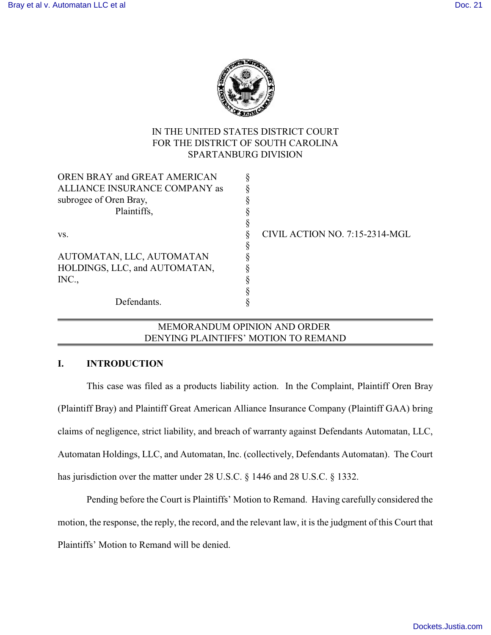

# IN THE UNITED STATES DISTRICT COURT FOR THE DISTRICT OF SOUTH CAROLINA SPARTANBURG DIVISION

| OREN BRAY and GREAT AMERICAN  |                                |
|-------------------------------|--------------------------------|
| ALLIANCE INSURANCE COMPANY as |                                |
| subrogee of Oren Bray,        |                                |
| Plaintiffs,                   |                                |
|                               |                                |
| VS.                           | CIVIL ACTION NO. 7:15-2314-MGL |
|                               |                                |
| AUTOMATAN, LLC, AUTOMATAN     |                                |
| HOLDINGS, LLC, and AUTOMATAN, |                                |
| INC.,                         |                                |
|                               |                                |
| Defendants.                   |                                |
|                               |                                |

## MEMORANDUM OPINION AND ORDER DENYING PLAINTIFFS' MOTION TO REMAND

### **I. INTRODUCTION**

This case was filed as a products liability action. In the Complaint, Plaintiff Oren Bray (Plaintiff Bray) and Plaintiff Great American Alliance Insurance Company (Plaintiff GAA) bring claims of negligence, strict liability, and breach of warranty against Defendants Automatan, LLC, Automatan Holdings, LLC, and Automatan, Inc. (collectively, Defendants Automatan). The Court has jurisdiction over the matter under 28 U.S.C. § 1446 and 28 U.S.C. § 1332.

Pending before the Court is Plaintiffs' Motion to Remand. Having carefully considered the motion, the response, the reply, the record, and the relevant law, it is the judgment of this Court that Plaintiffs' Motion to Remand will be denied.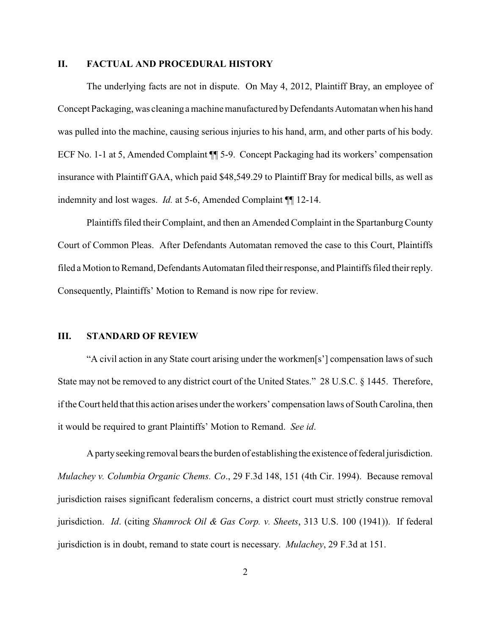#### **II. FACTUAL AND PROCEDURAL HISTORY**

The underlying facts are not in dispute. On May 4, 2012, Plaintiff Bray, an employee of Concept Packaging, was cleaning a machine manufactured byDefendants Automatan when his hand was pulled into the machine, causing serious injuries to his hand, arm, and other parts of his body. ECF No. 1-1 at 5, Amended Complaint ¶¶ 5-9. Concept Packaging had its workers' compensation insurance with Plaintiff GAA, which paid \$48,549.29 to Plaintiff Bray for medical bills, as well as indemnity and lost wages. *Id.* at 5-6, Amended Complaint ¶¶ 12-14.

Plaintiffs filed their Complaint, and then an Amended Complaint in the SpartanburgCounty Court of Common Pleas. After Defendants Automatan removed the case to this Court, Plaintiffs filed a Motion to Remand, Defendants Automatan filed theirresponse, and Plaintiffs filed their reply. Consequently, Plaintiffs' Motion to Remand is now ripe for review.

#### **III. STANDARD OF REVIEW**

"A civil action in any State court arising under the workmen[s'] compensation laws of such State may not be removed to any district court of the United States." 28 U.S.C. § 1445. Therefore, if the Court held that this action arises under the workers' compensation laws of South Carolina, then it would be required to grant Plaintiffs' Motion to Remand. *See id*.

A party seeking removal bears the burden of establishing the existence of federal jurisdiction. *Mulachey v. Columbia Organic Chems. Co*., 29 F.3d 148, 151 (4th Cir. 1994). Because removal jurisdiction raises significant federalism concerns, a district court must strictly construe removal jurisdiction. *Id*. (citing *Shamrock Oil & Gas Corp. v. Sheets*, 313 U.S. 100 (1941)). If federal jurisdiction is in doubt, remand to state court is necessary. *Mulachey*, 29 F.3d at 151.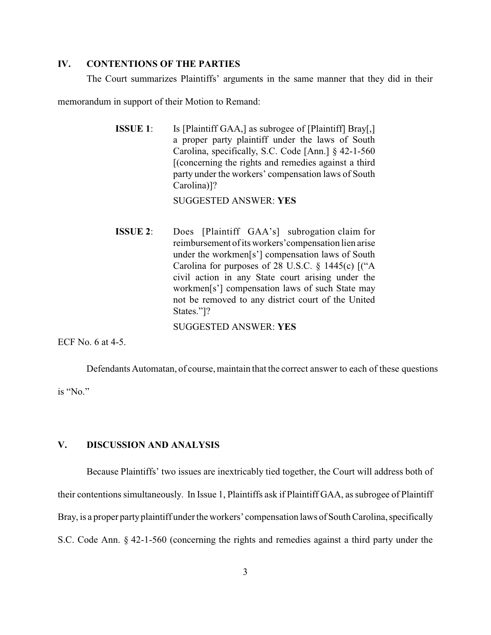### **IV. CONTENTIONS OF THE PARTIES**

The Court summarizes Plaintiffs' arguments in the same manner that they did in their

memorandum in support of their Motion to Remand:

| <b>ISSUE 1:</b> | Is [Plaintiff GAA,] as subrogee of [Plaintiff] Bray[,] |
|-----------------|--------------------------------------------------------|
|                 | a proper party plaintiff under the laws of South       |
|                 | Carolina, specifically, S.C. Code [Ann.] $\S$ 42-1-560 |
|                 | [(concerning the rights and remedies against a third)  |
|                 | party under the workers' compensation laws of South    |
|                 | Carolina)]?                                            |
|                 |                                                        |

SUGGESTED ANSWER: **YES**

**ISSUE 2:** Does [Plaintiff GAA's] subrogation claim for reimbursement of its workers'compensation lien arise under the workmen[s'] compensation laws of South Carolina for purposes of 28 U.S.C. § 1445(c) [("A civil action in any State court arising under the workmen[s'] compensation laws of such State may not be removed to any district court of the United States."]?

SUGGESTED ANSWER: **YES**

ECF No. 6 at 4-5.

Defendants Automatan, of course, maintain that the correct answer to each of these questions is "No."

#### **V. DISCUSSION AND ANALYSIS**

Because Plaintiffs' two issues are inextricably tied together, the Court will address both of their contentions simultaneously. In Issue 1, Plaintiffs ask if Plaintiff GAA, as subrogee of Plaintiff Bray, is a proper party plaintiff under the workers' compensation laws of South Carolina, specifically S.C. Code Ann. § 42-1-560 (concerning the rights and remedies against a third party under the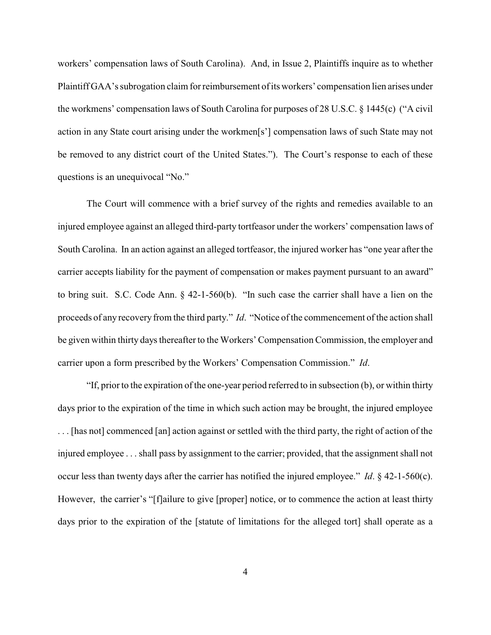workers' compensation laws of South Carolina). And, in Issue 2, Plaintiffs inquire as to whether Plaintiff GAA's subrogation claim for reimbursement of its workers' compensation lien arises under the workmens' compensation laws of South Carolina for purposes of 28 U.S.C. § 1445(c) ("A civil action in any State court arising under the workmen[s'] compensation laws of such State may not be removed to any district court of the United States."). The Court's response to each of these questions is an unequivocal "No."

The Court will commence with a brief survey of the rights and remedies available to an injured employee against an alleged third-party tortfeasor under the workers' compensation laws of South Carolina. In an action against an alleged tortfeasor, the injured worker has "one year after the carrier accepts liability for the payment of compensation or makes payment pursuant to an award" to bring suit. S.C. Code Ann. § 42-1-560(b). "In such case the carrier shall have a lien on the proceeds of any recovery from the third party." *Id.* "Notice of the commencement of the action shall be given within thirty days thereafter to the Workers' Compensation Commission, the employer and carrier upon a form prescribed by the Workers' Compensation Commission." *Id*.

"If, prior to the expiration of the one-year period referred to in subsection (b), or within thirty days prior to the expiration of the time in which such action may be brought, the injured employee . . . [has not] commenced [an] action against or settled with the third party, the right of action of the injured employee . . . shall pass by assignment to the carrier; provided, that the assignment shall not occur less than twenty days after the carrier has notified the injured employee." *Id*. § 42-1-560(c). However, the carrier's "[f]ailure to give [proper] notice, or to commence the action at least thirty days prior to the expiration of the [statute of limitations for the alleged tort] shall operate as a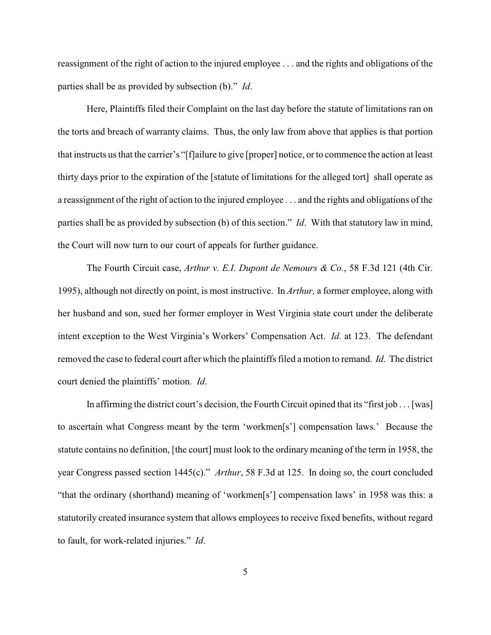reassignment of the right of action to the injured employee . . . and the rights and obligations of the parties shall be as provided by subsection (b)." *Id*.

Here, Plaintiffs filed their Complaint on the last day before the statute of limitations ran on the torts and breach of warranty claims. Thus, the only law from above that applies is that portion that instructs us that the carrier's "[f]ailure to give [proper] notice, or to commence the action at least thirty days prior to the expiration of the [statute of limitations for the alleged tort] shall operate as a reassignment of the right of action to the injured employee . . . and the rights and obligations of the parties shall be as provided by subsection (b) of this section." *Id*. With that statutory law in mind, the Court will now turn to our court of appeals for further guidance.

The Fourth Circuit case, *Arthur v. E.I. Dupont de Nemours & Co.*, 58 F.3d 121 (4th Cir. 1995), although not directly on point, is most instructive. In *Arthur,* a former employee, along with her husband and son, sued her former employer in West Virginia state court under the deliberate intent exception to the West Virginia's Workers' Compensation Act. *Id.* at 123. The defendant removed the case to federal court after which the plaintiffs filed a motion to remand. *Id*. The district court denied the plaintiffs' motion. *Id*.

In affirming the district court's decision, the Fourth Circuit opined that its "first job . . . [was] to ascertain what Congress meant by the term 'workmen[s'] compensation laws.' Because the statute contains no definition, [the court] must look to the ordinary meaning of the term in 1958, the year Congress passed section 1445(c)." *Arthur*, 58 F.3d at 125. In doing so, the court concluded "that the ordinary (shorthand) meaning of 'workmen[s'] compensation laws' in 1958 was this: a statutorily created insurance system that allows employees to receive fixed benefits, without regard to fault, for work-related injuries." *Id*.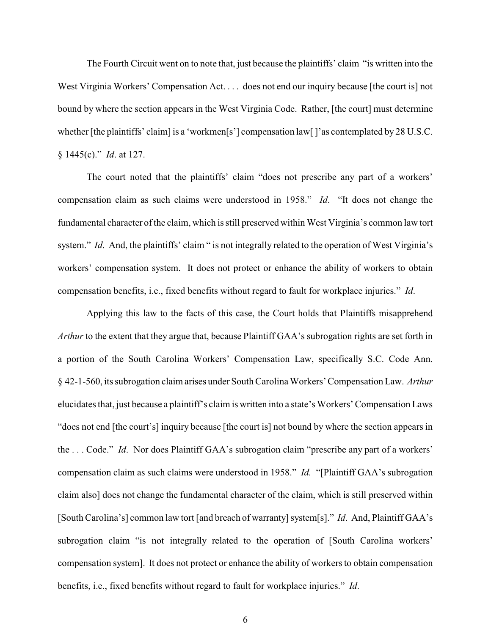The Fourth Circuit went on to note that, just because the plaintiffs' claim "is written into the West Virginia Workers' Compensation Act.... does not end our inquiry because [the court is] not bound by where the section appears in the West Virginia Code. Rather, [the court] must determine whether [the plaintiffs' claim] is a 'workmen[s'] compensation law[]'as contemplated by 28 U.S.C. § 1445(c)." *Id*. at 127.

The court noted that the plaintiffs' claim "does not prescribe any part of a workers' compensation claim as such claims were understood in 1958." *Id*. "It does not change the fundamental character of the claim, which is still preserved within West Virginia's common law tort system." *Id.* And, the plaintiffs' claim " is not integrally related to the operation of West Virginia's workers' compensation system. It does not protect or enhance the ability of workers to obtain compensation benefits, i.e., fixed benefits without regard to fault for workplace injuries." *Id*.

Applying this law to the facts of this case, the Court holds that Plaintiffs misapprehend *Arthur* to the extent that they argue that, because Plaintiff GAA's subrogation rights are set forth in a portion of the South Carolina Workers' Compensation Law, specifically S.C. Code Ann. § 42-1-560, its subrogation claim arises under South Carolina Workers' Compensation Law. *Arthur* elucidates that, just because a plaintiff's claim is written into a state's Workers' Compensation Laws "does not end [the court's] inquiry because [the court is] not bound by where the section appears in the . . . Code." *Id*. Nor does Plaintiff GAA's subrogation claim "prescribe any part of a workers' compensation claim as such claims were understood in 1958." *Id.* "[Plaintiff GAA's subrogation claim also] does not change the fundamental character of the claim, which is still preserved within [South Carolina's] common law tort [and breach of warranty] system[s]." *Id.* And, Plaintiff GAA's subrogation claim "is not integrally related to the operation of [South Carolina workers' compensation system]. It does not protect or enhance the ability of workers to obtain compensation benefits, i.e., fixed benefits without regard to fault for workplace injuries." *Id*.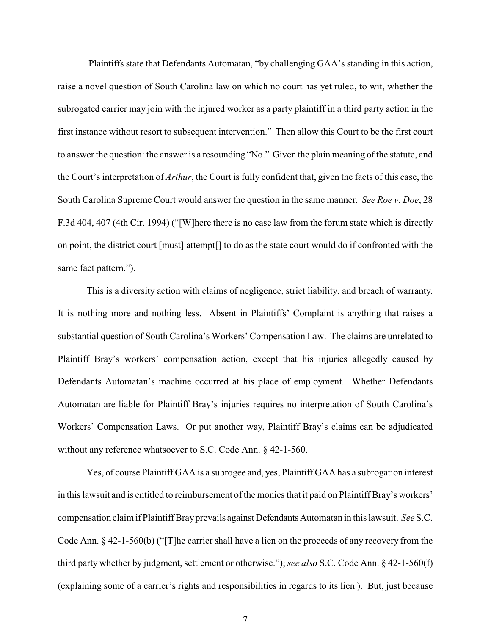Plaintiffs state that Defendants Automatan, "by challenging GAA's standing in this action, raise a novel question of South Carolina law on which no court has yet ruled, to wit, whether the subrogated carrier may join with the injured worker as a party plaintiff in a third party action in the first instance without resort to subsequent intervention." Then allow this Court to be the first court to answer the question: the answer is a resounding "No." Given the plain meaning of the statute, and the Court's interpretation of *Arthur*, the Court is fully confident that, given the facts of this case, the South Carolina Supreme Court would answer the question in the same manner. *See Roe v. Doe*, 28 F.3d 404, 407 (4th Cir. 1994) ("[W]here there is no case law from the forum state which is directly on point, the district court [must] attempt[] to do as the state court would do if confronted with the same fact pattern.").

This is a diversity action with claims of negligence, strict liability, and breach of warranty. It is nothing more and nothing less. Absent in Plaintiffs' Complaint is anything that raises a substantial question of South Carolina's Workers' Compensation Law. The claims are unrelated to Plaintiff Bray's workers' compensation action, except that his injuries allegedly caused by Defendants Automatan's machine occurred at his place of employment. Whether Defendants Automatan are liable for Plaintiff Bray's injuries requires no interpretation of South Carolina's Workers' Compensation Laws. Or put another way, Plaintiff Bray's claims can be adjudicated without any reference whatsoever to S.C. Code Ann. § 42-1-560.

Yes, of course Plaintiff GAA is a subrogee and, yes, Plaintiff GAA has a subrogation interest in this lawsuit and is entitled to reimbursement of the monies that it paid on Plaintiff Bray's workers' compensation claim if Plaintiff Brayprevails against DefendantsAutomatan in this lawsuit. *See* S.C. Code Ann. § 42-1-560(b) ("[T]he carrier shall have a lien on the proceeds of any recovery from the third party whether by judgment, settlement or otherwise."); *see also* S.C. Code Ann. § 42-1-560(f) (explaining some of a carrier's rights and responsibilities in regards to its lien ). But, just because